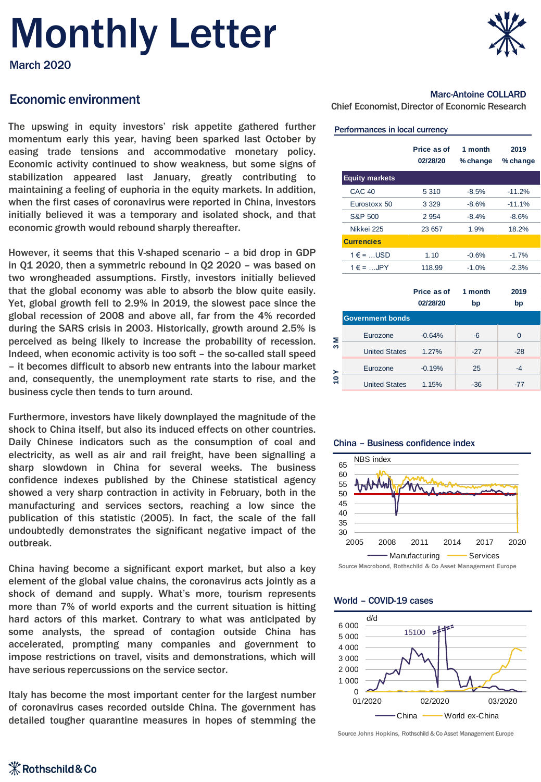# Monthly Letter

March 2020

## Economic environment<br>Chief Economist, Director of Economic Research COLLARD<br>Chief Economist, Director of Economic Research

The upswing in equity investors' risk appetite gathered further momentum early this year, having been sparked last October by easing trade tensions and accommodative monetary policy. Economic activity continued to show weakness, but some signs of stabilization appeared last January, greatly contributing to maintaining a feeling of euphoria in the equity markets. In addition, when the first cases of coronavirus were reported in China, investors initially believed it was a temporary and isolated shock, and that economic growth would rebound sharply thereafter.

However, it seems that this V-shaped scenario – a bid drop in GDP in Q1 2020, then a symmetric rebound in Q2 2020 – was based on two wrongheaded assumptions. Firstly, investors initially believed that the global economy was able to absorb the blow quite easily. Yet, global growth fell to 2.9% in 2019, the slowest pace since the global recession of 2008 and above all, far from the 4% recorded during the SARS crisis in 2003. Historically, growth around 2.5% is perceived as being likely to increase the probability of recession. Indeed, when economic activity is too soft – the so-called stall speed – it becomes difficult to absorb new entrants into the labour market and, consequently, the unemployment rate starts to rise, and the business cycle then tends to turn around.

Furthermore, investors have likely downplayed the magnitude of the shock to China itself, but also its induced effects on other countries. Daily Chinese indicators such as the consumption of coal and electricity, as well as air and rail freight, have been signalling a sharp slowdown in China for several weeks. The business confidence indexes published by the Chinese statistical agency showed a very sharp contraction in activity in February, both in the manufacturing and services sectors, reaching a low since the publication of this statistic (2005). In fact, the scale of the fall undoubtedly demonstrates the significant negative impact of the outbreak.

China having become a significant export market, but also a key element of the global value chains, the coronavirus acts jointly as a shock of demand and supply. What's more, tourism represents more than 7% of world exports and the current situation is hitting hard actors of this market. Contrary to what was anticipated by some analysts, the spread of contagion outside China has accelerated, prompting many companies and government to impose restrictions on travel, visits and demonstrations, which will have serious repercussions on the service sector.

Italy has become the most important center for the largest number of coronavirus cases recorded outside China. The government has detailed tougher quarantine measures in hopes of stemming the



### Marc-Antoine COLLARD

#### Performances in local currency

| Price as of<br>02/28/20 | 1 month<br>% change | 2019<br>% change |
|-------------------------|---------------------|------------------|
|                         |                     |                  |
| 5 3 1 0                 | $-8.5%$             | $-11.2%$         |
| 3 3 2 9                 | $-8.6%$             | $-11.1%$         |
| 2 9 5 4                 | $-8.4%$             | $-8.6%$          |
| 23 657                  | 1.9%                | 18.2%            |
|                         |                     |                  |
| 1.10                    | $-0.6%$             | $-1.7%$          |
| 118.99                  | $-1.0%$             | $-2.3%$          |
|                         |                     |                  |

|        |                         | Price as of<br>02/28/20 | 1 month<br>bp | 2019<br>bp |
|--------|-------------------------|-------------------------|---------------|------------|
|        | <b>Government bonds</b> |                         |               |            |
| Σ<br>S | Eurozone                | $-0.64%$                | $-6$          | 0          |
|        | <b>United States</b>    | 1.27%                   | $-27$         | $-28$      |
| ≻<br>ë | Eurozone                | $-0.19%$                | 25            | -4         |
|        | <b>United States</b>    | 1.15%                   | -36           |            |

#### China – Business confidence index



Source Macrobond, Rothschild & Co Asset Management Europe

#### World – COVID-19 cases



Source Johns Hopkins, Rothschild & Co Asset Management Europe